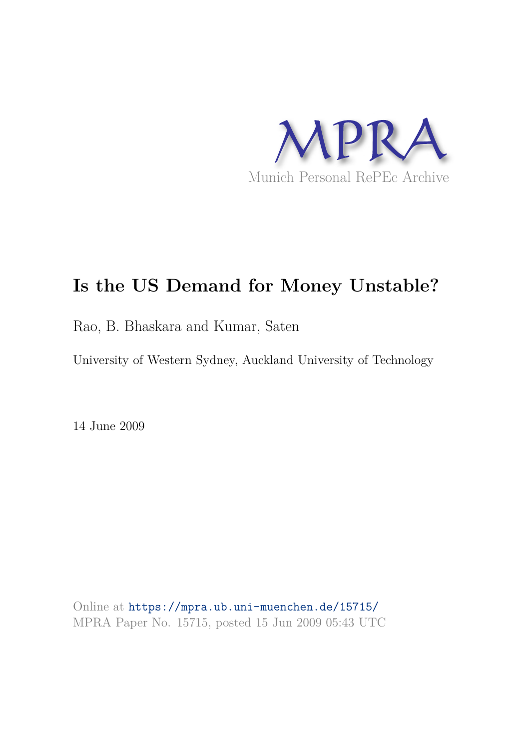

# **Is the US Demand for Money Unstable?**

Rao, B. Bhaskara and Kumar, Saten

University of Western Sydney, Auckland University of Technology

14 June 2009

Online at https://mpra.ub.uni-muenchen.de/15715/ MPRA Paper No. 15715, posted 15 Jun 2009 05:43 UTC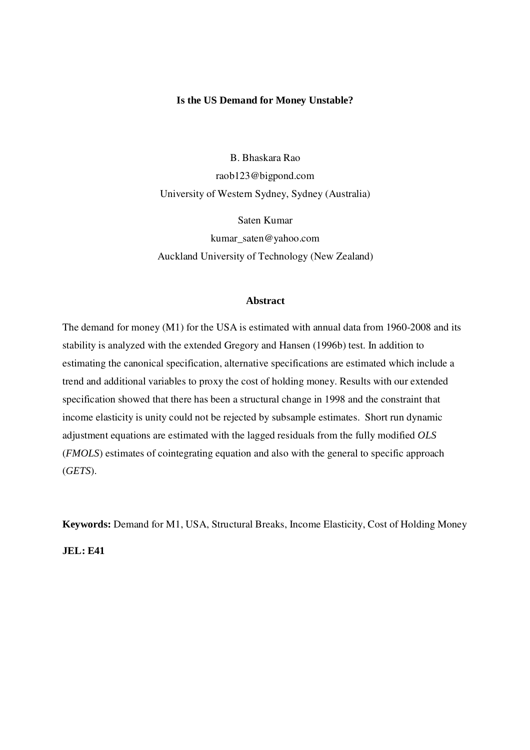#### **Is the US Demand for Money Unstable?**

B. Bhaskara Rao raob123@bigpond.com University of Western Sydney, Sydney (Australia)

Saten Kumar kumar\_saten@yahoo.com Auckland University of Technology (New Zealand)

## **Abstract**

The demand for money (M1) for the USA is estimated with annual data from 1960-2008 and its stability is analyzed with the extended Gregory and Hansen (1996b) test. In addition to estimating the canonical specification, alternative specifications are estimated which include a trend and additional variables to proxy the cost of holding money. Results with our extended specification showed that there has been a structural change in 1998 and the constraint that income elasticity is unity could not be rejected by subsample estimates. Short run dynamic adjustment equations are estimated with the lagged residuals from the fully modified *OLS* (*FMOLS*) estimates of cointegrating equation and also with the general to specific approach (*GETS*).

**Keywords:** Demand for M1, USA, Structural Breaks, Income Elasticity, Cost of Holding Money

**JEL: E41**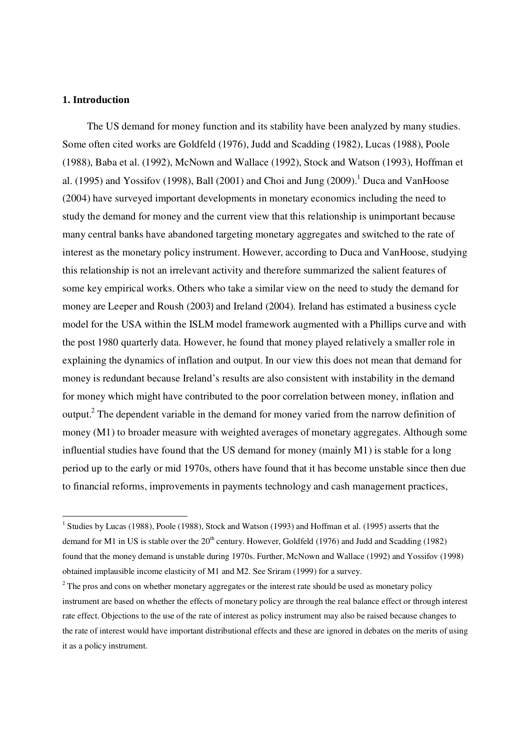#### **1. Introduction**

-

The US demand for money function and its stability have been analyzed by many studies. Some often cited works are Goldfeld (1976), Judd and Scadding (1982), Lucas (1988), Poole (1988), Baba et al. (1992), McNown and Wallace (1992), Stock and Watson (1993), Hoffman et al. (1995) and Yossifov (1998), Ball (2001) and Choi and Jung (2009). <sup>1</sup> Duca and VanHoose (2004) have surveyed important developments in monetary economics including the need to study the demand for money and the current view that this relationship is unimportant because many central banks have abandoned targeting monetary aggregates and switched to the rate of interest as the monetary policy instrument. However, according to Duca and VanHoose, studying this relationship is not an irrelevant activity and therefore summarized the salient features of some key empirical works. Others who take a similar view on the need to study the demand for money are Leeper and Roush (2003) and Ireland (2004). Ireland has estimated a business cycle model for the USA within the ISLM model framework augmented with a Phillips curve and with the post 1980 quarterly data. However, he found that money played relatively a smaller role in explaining the dynamics of inflation and output. In our view this does not mean that demand for money is redundant because Ireland's results are also consistent with instability in the demand for money which might have contributed to the poor correlation between money, inflation and output.<sup>2</sup> The dependent variable in the demand for money varied from the narrow definition of money (M1) to broader measure with weighted averages of monetary aggregates. Although some influential studies have found that the US demand for money (mainly M1) is stable for a long period up to the early or mid 1970s, others have found that it has become unstable since then due to financial reforms, improvements in payments technology and cash management practices,

<sup>&</sup>lt;sup>1</sup> Studies by Lucas (1988), Poole (1988), Stock and Watson (1993) and Hoffman et al. (1995) asserts that the demand for M1 in US is stable over the  $20<sup>th</sup>$  century. However, Goldfeld (1976) and Judd and Scadding (1982) found that the money demand is unstable during 1970s. Further, McNown and Wallace (1992) and Yossifov (1998) obtained implausible income elasticity of M1 and M2. See Sriram (1999) for a survey.

 $2<sup>2</sup>$  The pros and cons on whether monetary aggregates or the interest rate should be used as monetary policy instrument are based on whether the effects of monetary policy are through the real balance effect or through interest rate effect. Objections to the use of the rate of interest as policy instrument may also be raised because changes to the rate of interest would have important distributional effects and these are ignored in debates on the merits of using it as a policy instrument.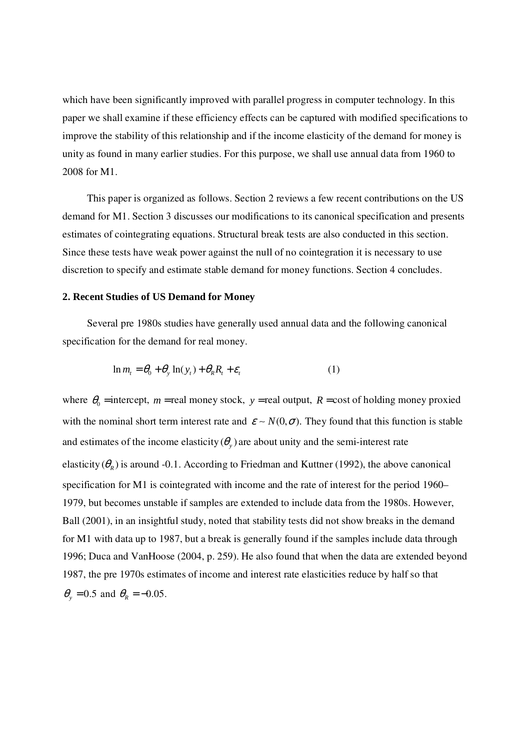which have been significantly improved with parallel progress in computer technology. In this paper we shall examine if these efficiency effects can be captured with modified specifications to improve the stability of this relationship and if the income elasticity of the demand for money is unity as found in many earlier studies. For this purpose, we shall use annual data from 1960 to 2008 for M1.

This paper is organized as follows. Section 2 reviews a few recent contributions on the US demand for M1. Section 3 discusses our modifications to its canonical specification and presents estimates of cointegrating equations. Structural break tests are also conducted in this section. Since these tests have weak power against the null of no cointegration it is necessary to use discretion to specify and estimate stable demand for money functions. Section 4 concludes.

### **2. Recent Studies of US Demand for Money**

 Several pre 1980s studies have generally used annual data and the following canonical specification for the demand for real money.

$$
\ln m_t = \theta_0 + \theta_y \ln(y_t) + \theta_R R_t + \varepsilon_t \tag{1}
$$

where  $\theta_0$  = intercept, *m* = real money stock, *y* = real output, *R* = cost of holding money proxied with the nominal short term interest rate and  $\varepsilon \sim N(0, \sigma)$ . They found that this function is stable and estimates of the income elasticity  $(\theta_y)$  are about unity and the semi-interest rate elasticity  $(\theta_R)$  is around -0.1. According to Friedman and Kuttner (1992), the above canonical specification for M1 is cointegrated with income and the rate of interest for the period 1960– 1979, but becomes unstable if samples are extended to include data from the 1980s. However, Ball (2001), in an insightful study, noted that stability tests did not show breaks in the demand for M1 with data up to 1987, but a break is generally found if the samples include data through 1996; Duca and VanHoose (2004, p. 259). He also found that when the data are extended beyond 1987, the pre 1970s estimates of income and interest rate elasticities reduce by half so that  $\theta_y = 0.5$  and  $\theta_R = -0.05$ .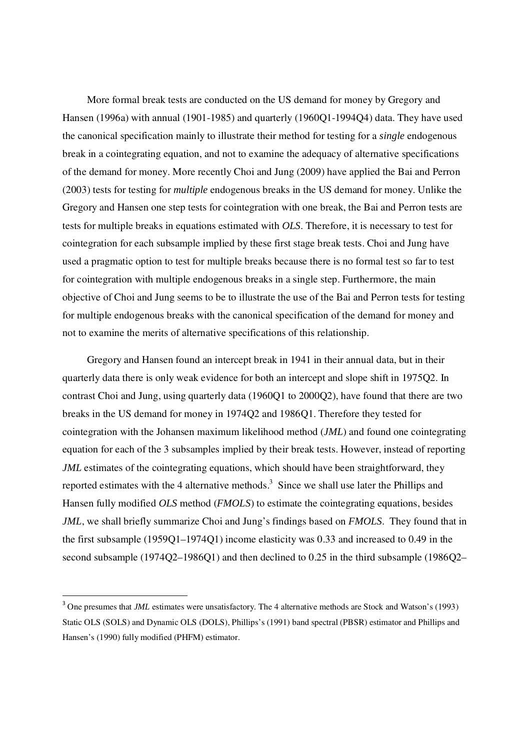More formal break tests are conducted on the US demand for money by Gregory and Hansen (1996a) with annual (1901-1985) and quarterly (1960Q1-1994Q4) data. They have used the canonical specification mainly to illustrate their method for testing for a *single* endogenous break in a cointegrating equation, and not to examine the adequacy of alternative specifications of the demand for money. More recently Choi and Jung (2009) have applied the Bai and Perron (2003) tests for testing for *multiple* endogenous breaks in the US demand for money. Unlike the Gregory and Hansen one step tests for cointegration with one break, the Bai and Perron tests are tests for multiple breaks in equations estimated with *OLS*. Therefore, it is necessary to test for cointegration for each subsample implied by these first stage break tests. Choi and Jung have used a pragmatic option to test for multiple breaks because there is no formal test so far to test for cointegration with multiple endogenous breaks in a single step. Furthermore, the main objective of Choi and Jung seems to be to illustrate the use of the Bai and Perron tests for testing for multiple endogenous breaks with the canonical specification of the demand for money and not to examine the merits of alternative specifications of this relationship.

Gregory and Hansen found an intercept break in 1941 in their annual data, but in their quarterly data there is only weak evidence for both an intercept and slope shift in 1975Q2. In contrast Choi and Jung, using quarterly data (1960Q1 to 2000Q2), have found that there are two breaks in the US demand for money in 1974Q2 and 1986Q1. Therefore they tested for cointegration with the Johansen maximum likelihood method (*JML*) and found one cointegrating equation for each of the 3 subsamples implied by their break tests. However, instead of reporting *JML* estimates of the cointegrating equations, which should have been straightforward, they reported estimates with the 4 alternative methods.<sup>3</sup> Since we shall use later the Phillips and Hansen fully modified *OLS* method (*FMOLS*) to estimate the cointegrating equations, besides *JML*, we shall briefly summarize Choi and Jung's findings based on *FMOLS*. They found that in the first subsample (1959Q1–1974Q1) income elasticity was 0.33 and increased to 0.49 in the second subsample (1974Q2–1986Q1) and then declined to 0.25 in the third subsample (1986Q2–

<u>.</u>

<sup>&</sup>lt;sup>3</sup> One presumes that *JML* estimates were unsatisfactory. The 4 alternative methods are Stock and Watson's (1993) Static OLS (SOLS) and Dynamic OLS (DOLS), Phillips's (1991) band spectral (PBSR) estimator and Phillips and Hansen's (1990) fully modified (PHFM) estimator.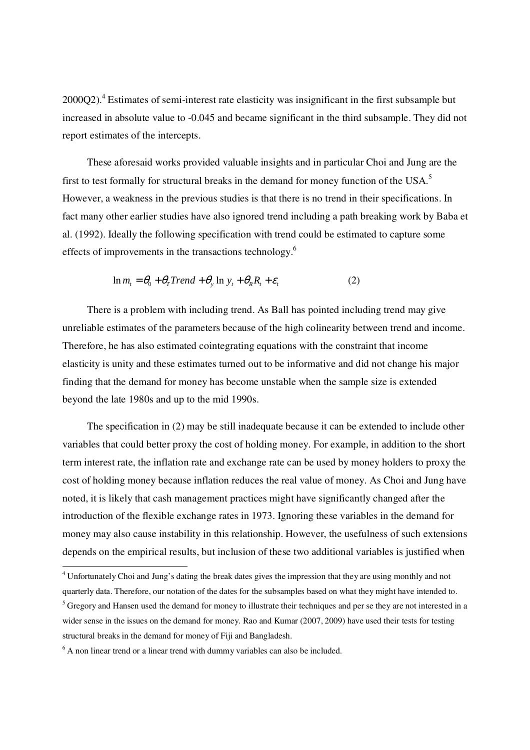$2000Q2$ <sup>4</sup>. Estimates of semi-interest rate elasticity was insignificant in the first subsample but increased in absolute value to -0.045 and became significant in the third subsample. They did not report estimates of the intercepts.

 These aforesaid works provided valuable insights and in particular Choi and Jung are the first to test formally for structural breaks in the demand for money function of the USA.<sup>5</sup> However, a weakness in the previous studies is that there is no trend in their specifications. In fact many other earlier studies have also ignored trend including a path breaking work by Baba et al. (1992). Ideally the following specification with trend could be estimated to capture some effects of improvements in the transactions technology.<sup>6</sup>

$$
\ln m_t = \theta_0 + \theta_T Trend + \theta_y \ln y_t + \theta_R R_t + \varepsilon_t
$$
 (2)

 There is a problem with including trend. As Ball has pointed including trend may give unreliable estimates of the parameters because of the high colinearity between trend and income. Therefore, he has also estimated cointegrating equations with the constraint that income elasticity is unity and these estimates turned out to be informative and did not change his major finding that the demand for money has become unstable when the sample size is extended beyond the late 1980s and up to the mid 1990s.

 The specification in (2) may be still inadequate because it can be extended to include other variables that could better proxy the cost of holding money. For example, in addition to the short term interest rate, the inflation rate and exchange rate can be used by money holders to proxy the cost of holding money because inflation reduces the real value of money. As Choi and Jung have noted, it is likely that cash management practices might have significantly changed after the introduction of the flexible exchange rates in 1973. Ignoring these variables in the demand for money may also cause instability in this relationship. However, the usefulness of such extensions depends on the empirical results, but inclusion of these two additional variables is justified when

<u>.</u>

<sup>&</sup>lt;sup>4</sup> Unfortunately Choi and Jung's dating the break dates gives the impression that they are using monthly and not quarterly data. Therefore, our notation of the dates for the subsamples based on what they might have intended to. <sup>5</sup> Gregory and Hansen used the demand for money to illustrate their techniques and per se they are not interested in a wider sense in the issues on the demand for money. Rao and Kumar (2007, 2009) have used their tests for testing structural breaks in the demand for money of Fiji and Bangladesh.

 $6$  A non linear trend or a linear trend with dummy variables can also be included.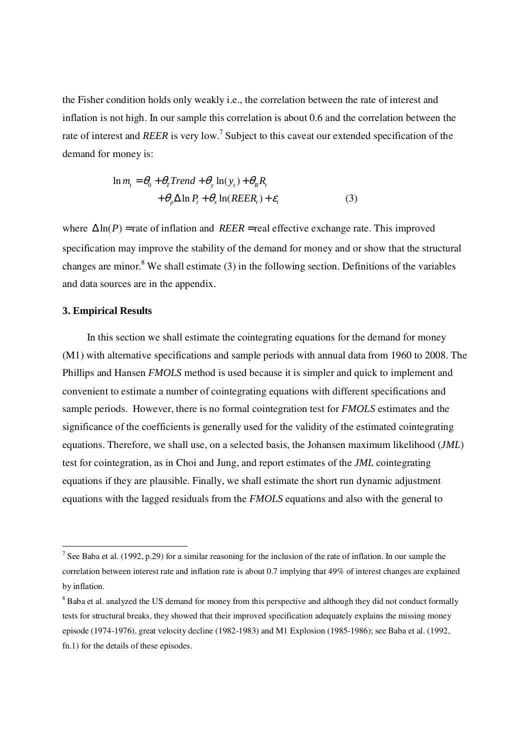the Fisher condition holds only weakly i.e., the correlation between the rate of interest and inflation is not high. In our sample this correlation is about 0.6 and the correlation between the rate of interest and *REER* is very low.<sup>7</sup> Subject to this caveat our extended specification of the demand for money is:

$$
\ln m_t = \theta_0 + \theta_T Trend + \theta_y \ln(y_t) + \theta_R R_t
$$
  
+  $\theta_p \Delta \ln P_t + \theta_x \ln(REER_t) + \varepsilon_t$  (3)

where  $\Delta \ln(P)$  = rate of inflation and *REER* = real effective exchange rate. This improved specification may improve the stability of the demand for money and or show that the structural changes are minor.<sup>8</sup> We shall estimate  $(3)$  in the following section. Definitions of the variables and data sources are in the appendix.

## **3. Empirical Results**

<u>.</u>

 In this section we shall estimate the cointegrating equations for the demand for money (M1) with alternative specifications and sample periods with annual data from 1960 to 2008. The Phillips and Hansen *FMOLS* method is used because it is simpler and quick to implement and convenient to estimate a number of cointegrating equations with different specifications and sample periods. However, there is no formal cointegration test for *FMOLS* estimates and the significance of the coefficients is generally used for the validity of the estimated cointegrating equations. Therefore, we shall use, on a selected basis, the Johansen maximum likelihood (*JML*) test for cointegration, as in Choi and Jung, and report estimates of the *JML* cointegrating equations if they are plausible. Finally, we shall estimate the short run dynamic adjustment equations with the lagged residuals from the *FMOLS* equations and also with the general to

<sup>&</sup>lt;sup>7</sup> See Baba et al. (1992, p.29) for a similar reasoning for the inclusion of the rate of inflation. In our sample the correlation between interest rate and inflation rate is about 0.7 implying that 49% of interest changes are explained by inflation.

<sup>&</sup>lt;sup>8</sup> Baba et al. analyzed the US demand for money from this perspective and although they did not conduct formally tests for structural breaks, they showed that their improved specification adequately explains the missing money episode (1974-1976), great velocity decline (1982-1983) and M1 Explosion (1985-1986); see Baba et al. (1992, fn.1) for the details of these episodes.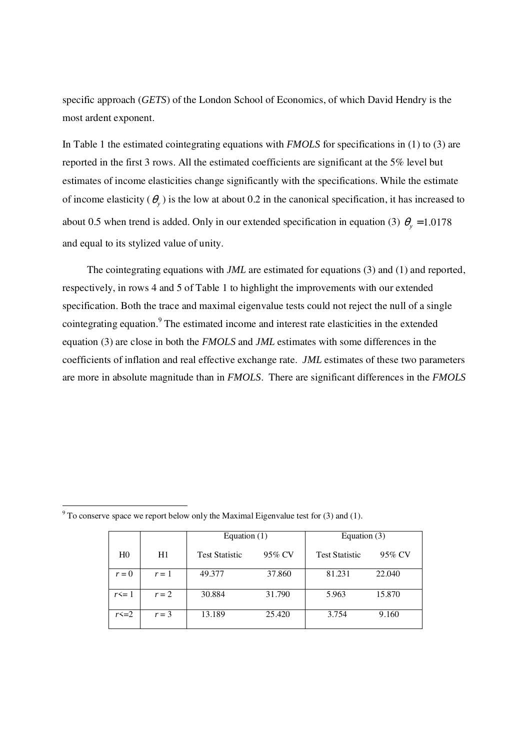specific approach (*GETS*) of the London School of Economics, of which David Hendry is the most ardent exponent.

In Table 1 the estimated cointegrating equations with *FMOLS* for specifications in (1) to (3) are reported in the first 3 rows. All the estimated coefficients are significant at the 5% level but estimates of income elasticities change significantly with the specifications. While the estimate of income elasticity  $(\theta_y)$  is the low at about 0.2 in the canonical specification, it has increased to about 0.5 when trend is added. Only in our extended specification in equation (3)  $\theta$ <sub>y</sub> = 1.0178 and equal to its stylized value of unity.

 The cointegrating equations with *JML* are estimated for equations (3) and (1) and reported, respectively, in rows 4 and 5 of Table 1 to highlight the improvements with our extended specification. Both the trace and maximal eigenvalue tests could not reject the null of a single cointegrating equation.<sup>9</sup> The estimated income and interest rate elasticities in the extended equation (3) are close in both the *FMOLS* and *JML* estimates with some differences in the coefficients of inflation and real effective exchange rate. *JML* estimates of these two parameters are more in absolute magnitude than in *FMOLS*. There are significant differences in the *FMOLS*

|                |         | Equation $(1)$        |        | Equation $(3)$        |        |  |
|----------------|---------|-----------------------|--------|-----------------------|--------|--|
| H <sub>0</sub> | H1      | <b>Test Statistic</b> | 95% CV | <b>Test Statistic</b> | 95% CV |  |
| $r = 0$        | $r=1$   | 49.377                | 37.860 | 81.231                | 22.040 |  |
| $r \leq 1$     | $r = 2$ | 30.884                | 31.790 | 5.963                 | 15.870 |  |
| $r \le 2$      | $r = 3$ | 13.189                | 25.420 | 3.754                 | 9.160  |  |

 $9^9$  To conserve space we report below only the Maximal Eigenvalue test for (3) and (1).

-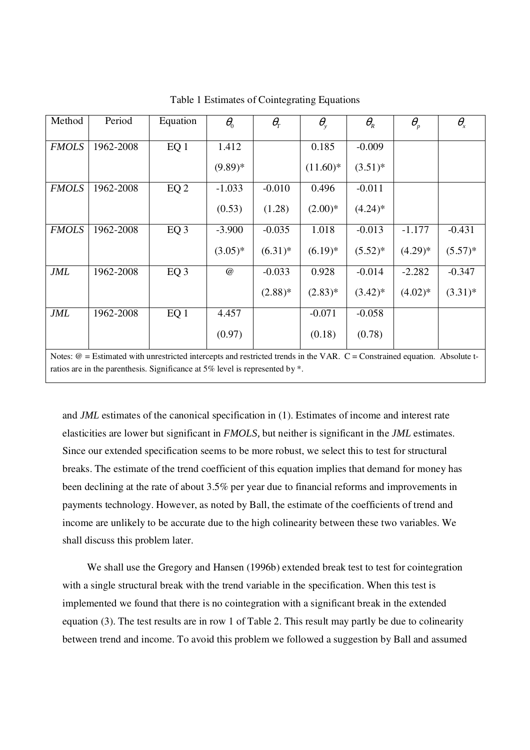| Method       | Period                                                                                                                                                                                                                                   | Equation        | $\theta_{0}$ | $\theta_{\scriptscriptstyle T}$ | $\theta_{\rm v}$ | $\theta_{\scriptscriptstyle R}$ | $\theta_{\scriptscriptstyle p}$ | $\theta_{\rm x}$ |
|--------------|------------------------------------------------------------------------------------------------------------------------------------------------------------------------------------------------------------------------------------------|-----------------|--------------|---------------------------------|------------------|---------------------------------|---------------------------------|------------------|
| <b>FMOLS</b> | 1962-2008                                                                                                                                                                                                                                | EQ <sub>1</sub> | 1.412        |                                 | 0.185            | $-0.009$                        |                                 |                  |
|              |                                                                                                                                                                                                                                          |                 | $(9.89)*$    |                                 | $(11.60)^*$      | $(3.51)^*$                      |                                 |                  |
| <b>FMOLS</b> | 1962-2008                                                                                                                                                                                                                                | EQ <sub>2</sub> | $-1.033$     | $-0.010$                        | 0.496            | $-0.011$                        |                                 |                  |
|              |                                                                                                                                                                                                                                          |                 | (0.53)       | (1.28)                          | $(2.00)*$        | $(4.24)$ *                      |                                 |                  |
| <b>FMOLS</b> | 1962-2008                                                                                                                                                                                                                                | EQ <sub>3</sub> | $-3.900$     | $-0.035$                        | 1.018            | $-0.013$                        | $-1.177$                        | $-0.431$         |
|              |                                                                                                                                                                                                                                          |                 | $(3.05)*$    | $(6.31)^*$                      | $(6.19)*$        | $(5.52)^*$                      | $(4.29)*$                       | $(5.57)^*$       |
| <b>JML</b>   | 1962-2008                                                                                                                                                                                                                                | EQ <sub>3</sub> | @            | $-0.033$                        | 0.928            | $-0.014$                        | $-2.282$                        | $-0.347$         |
|              |                                                                                                                                                                                                                                          |                 |              | $(2.88)*$                       | $(2.83)*$        | $(3.42)^*$                      | $(4.02)*$                       | $(3.31)^*$       |
| <b>JML</b>   | 1962-2008                                                                                                                                                                                                                                | EQ <sub>1</sub> | 4.457        |                                 | $-0.071$         | $-0.058$                        |                                 |                  |
|              |                                                                                                                                                                                                                                          |                 | (0.97)       |                                 | (0.18)           | (0.78)                          |                                 |                  |
|              | $\mathbf{M}$ and $\mathbf{M}$ and $\mathbf{M}$ are about the contract of the contract of the contract of the contract of the contract of the contract of the contract of the contract of the contract of the contract of the contract of |                 |              |                                 |                  |                                 |                                 |                  |

Table 1 Estimates of Cointegrating Equations

Notes:  $@ =$  Estimated with unrestricted intercepts and restricted trends in the VAR.  $C =$  Constrained equation. Absolute tratios are in the parenthesis. Significance at 5% level is represented by \*.

and *JML* estimates of the canonical specification in (1). Estimates of income and interest rate elasticities are lower but significant in *FMOLS,* but neither is significant in the *JML* estimates. Since our extended specification seems to be more robust, we select this to test for structural breaks. The estimate of the trend coefficient of this equation implies that demand for money has been declining at the rate of about 3.5% per year due to financial reforms and improvements in payments technology. However, as noted by Ball, the estimate of the coefficients of trend and income are unlikely to be accurate due to the high colinearity between these two variables. We shall discuss this problem later.

We shall use the Gregory and Hansen (1996b) extended break test to test for cointegration with a single structural break with the trend variable in the specification. When this test is implemented we found that there is no cointegration with a significant break in the extended equation (3). The test results are in row 1 of Table 2. This result may partly be due to colinearity between trend and income. To avoid this problem we followed a suggestion by Ball and assumed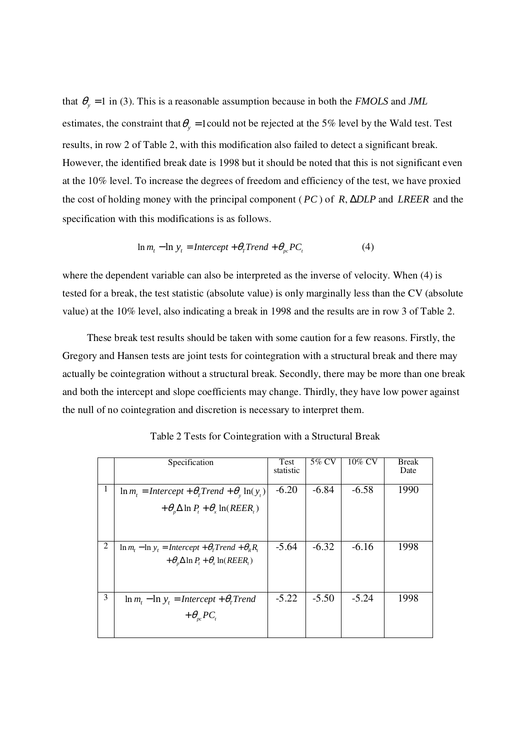that  $\theta_y = 1$  in (3). This is a reasonable assumption because in both the *FMOLS* and *JML* estimates, the constraint that  $\theta$ <sub>y</sub> = 1 could not be rejected at the 5% level by the Wald test. Test results, in row 2 of Table 2, with this modification also failed to detect a significant break. However, the identified break date is 1998 but it should be noted that this is not significant even at the 10% level. To increase the degrees of freedom and efficiency of the test, we have proxied the cost of holding money with the principal component (*PC*) of *R*, ∆*DLP* and *LREER* and the specification with this modifications is as follows.

$$
\ln m_t - \ln y_t = \text{Intercept} + \theta_T \text{Trend} + \theta_{pc} \text{PC}_t \tag{4}
$$

where the dependent variable can also be interpreted as the inverse of velocity. When (4) is tested for a break, the test statistic (absolute value) is only marginally less than the CV (absolute value) at the 10% level, also indicating a break in 1998 and the results are in row 3 of Table 2.

 These break test results should be taken with some caution for a few reasons. Firstly, the Gregory and Hansen tests are joint tests for cointegration with a structural break and there may actually be cointegration without a structural break. Secondly, there may be more than one break and both the intercept and slope coefficients may change. Thirdly, they have low power against the null of no cointegration and discretion is necessary to interpret them.

|   | Specification                                                                                                                        | Test<br>statistic | 5% CV   | 10% CV  | <b>Break</b><br>Date |
|---|--------------------------------------------------------------------------------------------------------------------------------------|-------------------|---------|---------|----------------------|
| 1 | $\ln m_t = \text{Intercept} + \theta_r \text{Trend} + \theta_v \ln(y_t)$<br>$+\theta_{n}\Delta \ln P_{t} + \theta_{r} \ln(REER_{t})$ | $-6.20$           | $-6.84$ | $-6.58$ | 1990                 |
| 2 | $\ln m_t - \ln y_t = \text{Intercept} + \theta_r \text{Trend} + \theta_k R_t$<br>$+\theta_n \Delta \ln P_t + \theta_x \ln(REER_t)$   | $-5.64$           | $-6.32$ | $-6.16$ | 1998                 |
| 3 | $\ln m_t - \ln y_t = \text{Intercept} + \theta_r \text{Trend}$<br>$+\theta_{nc}PC_{n}$                                               | $-5.22$           | $-5.50$ | $-5.24$ | 1998                 |

Table 2 Tests for Cointegration with a Structural Break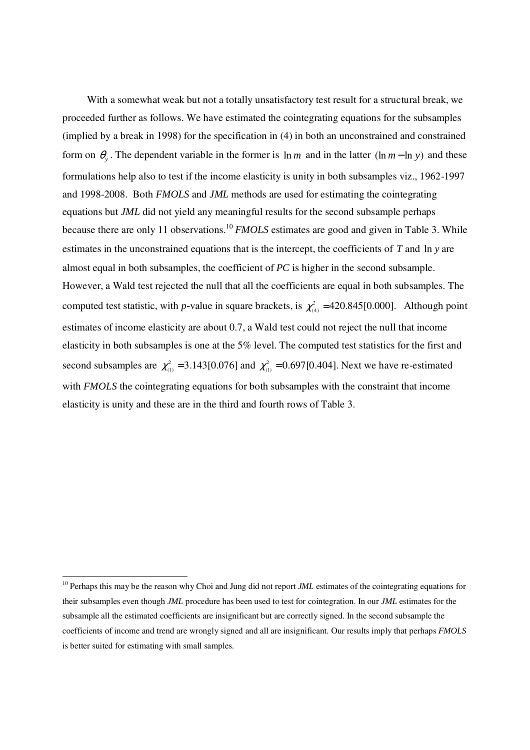With a somewhat weak but not a totally unsatisfactory test result for a structural break, we proceeded further as follows. We have estimated the cointegrating equations for the subsamples (implied by a break in 1998) for the specification in (4) in both an unconstrained and constrained form on  $\theta_y$ . The dependent variable in the former is  $\ln m$  and in the latter ( $\ln m - \ln y$ ) and these formulations help also to test if the income elasticity is unity in both subsamples viz., 1962-1997 and 1998-2008. Both *FMOLS* and *JML* methods are used for estimating the cointegrating equations but *JML* did not yield any meaningful results for the second subsample perhaps because there are only 11 observations.<sup>10</sup> *FMOLS* estimates are good and given in Table 3. While estimates in the unconstrained equations that is the intercept, the coefficients of *T* and ln *y* are almost equal in both subsamples, the coefficient of *PC* is higher in the second subsample. However, a Wald test rejected the null that all the coefficients are equal in both subsamples. The computed test statistic, with *p*-value in square brackets, is  $\chi^2_{(4)} = 420.845[0.000]$ . Although point estimates of income elasticity are about 0.7, a Wald test could not reject the null that income elasticity in both subsamples is one at the 5% level. The computed test statistics for the first and second subsamples are  $\chi^2_{(1)} = 3.143[0.076]$  and  $\chi^2_{(1)} = 0.697[0.404]$ . Next we have re-estimated with *FMOLS* the cointegrating equations for both subsamples with the constraint that income elasticity is unity and these are in the third and fourth rows of Table 3.

<u>.</u>

<sup>&</sup>lt;sup>10</sup> Perhaps this may be the reason why Choi and Jung did not report *JML* estimates of the cointegrating equations for their subsamples even though *JML* procedure has been used to test for cointegration. In our *JML* estimates for the subsample all the estimated coefficients are insignificant but are correctly signed. In the second subsample the coefficients of income and trend are wrongly signed and all are insignificant. Our results imply that perhaps *FMOLS* is better suited for estimating with small samples.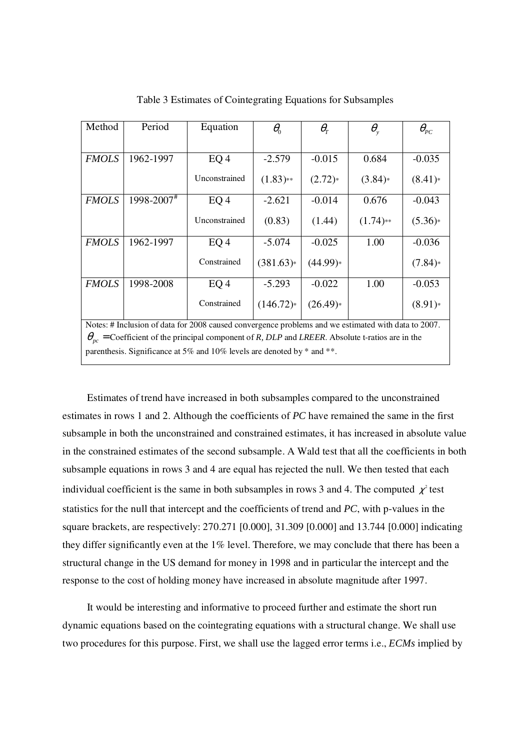| Method                                                                                                   | Period     | Equation        | $\theta_{\scriptscriptstyle 0}$ | $\theta_{\scriptscriptstyle T}$ | $\theta_{\tiny\text{v}}$ | $\theta_{_{PC}}$ |
|----------------------------------------------------------------------------------------------------------|------------|-----------------|---------------------------------|---------------------------------|--------------------------|------------------|
|                                                                                                          |            |                 |                                 |                                 |                          |                  |
| <b>FMOLS</b>                                                                                             | 1962-1997  | EQ <sub>4</sub> | $-2.579$                        | $-0.015$                        | 0.684                    | $-0.035$         |
|                                                                                                          |            | Unconstrained   | $(1.83)$ **                     | $(2.72)*$                       | $(3.84)*$                | $(8.41)*$        |
| <b>FMOLS</b>                                                                                             | 1998-2007# | EQ <sub>4</sub> | $-2.621$                        | $-0.014$                        | 0.676                    | $-0.043$         |
|                                                                                                          |            | Unconstrained   | (0.83)                          | (1.44)                          | $(1.74)$ **              | $(5.36)*$        |
| <b>FMOLS</b>                                                                                             | 1962-1997  | EQ <sub>4</sub> | $-5.074$                        | $-0.025$                        | 1.00                     | $-0.036$         |
|                                                                                                          |            | Constrained     | $(381.63)*$                     | $(44.99)*$                      |                          | (7.84)           |
| <b>FMOLS</b>                                                                                             | 1998-2008  | EQ <sub>4</sub> | $-5.293$                        | $-0.022$                        | 1.00                     | $-0.053$         |
|                                                                                                          |            | Constrained     | $(146.72)*$                     | $(26.49)*$                      |                          | $(8.91)*$        |
| Notes: # Inclusion of data for 2008 caused convergence problems and we estimated with data to 2007.      |            |                 |                                 |                                 |                          |                  |
| $\theta_{pc}$ = Coefficient of the principal component of R, DLP and LREER. Absolute t-ratios are in the |            |                 |                                 |                                 |                          |                  |
| parenthesis. Significance at 5% and 10% levels are denoted by $*$ and $**$ .                             |            |                 |                                 |                                 |                          |                  |

Table 3 Estimates of Cointegrating Equations for Subsamples

 Estimates of trend have increased in both subsamples compared to the unconstrained estimates in rows 1 and 2. Although the coefficients of *PC* have remained the same in the first subsample in both the unconstrained and constrained estimates, it has increased in absolute value in the constrained estimates of the second subsample. A Wald test that all the coefficients in both subsample equations in rows 3 and 4 are equal has rejected the null. We then tested that each individual coefficient is the same in both subsamples in rows 3 and 4. The computed  $\chi^2$  test statistics for the null that intercept and the coefficients of trend and *PC*, with p-values in the square brackets, are respectively: 270.271 [0.000], 31.309 [0.000] and 13.744 [0.000] indicating they differ significantly even at the 1% level. Therefore, we may conclude that there has been a structural change in the US demand for money in 1998 and in particular the intercept and the response to the cost of holding money have increased in absolute magnitude after 1997.

 It would be interesting and informative to proceed further and estimate the short run dynamic equations based on the cointegrating equations with a structural change. We shall use two procedures for this purpose. First, we shall use the lagged error terms i.e., *ECMs* implied by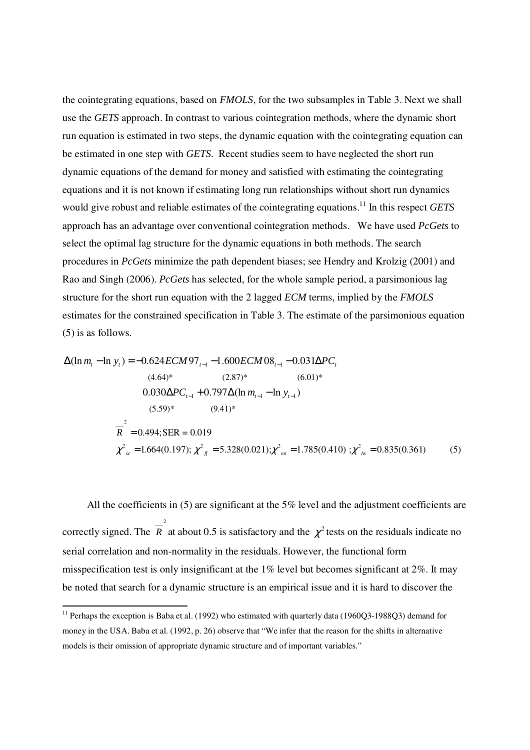the cointegrating equations, based on *FMOLS*, for the two subsamples in Table 3. Next we shall use the *GETS* approach. In contrast to various cointegration methods, where the dynamic short run equation is estimated in two steps, the dynamic equation with the cointegrating equation can be estimated in one step with *GETS.* Recent studies seem to have neglected the short run dynamic equations of the demand for money and satisfied with estimating the cointegrating equations and it is not known if estimating long run relationships without short run dynamics would give robust and reliable estimates of the cointegrating equations.<sup>11</sup> In this respect *GETS* approach has an advantage over conventional cointegration methods. We have used *PcGets* to select the optimal lag structure for the dynamic equations in both methods. The search procedures in *PcGets* minimize the path dependent biases; see Hendry and Krolzig (2001) and Rao and Singh (2006). *PcGets* has selected, for the whole sample period, a parsimonious lag structure for the short run equation with the 2 lagged *ECM* terms, implied by the *FMOLS*  estimates for the constrained specification in Table 3. The estimate of the parsimonious equation (5) is as follows.

$$
\Delta(\ln m_t - \ln y_t) = -0.624 ECM 97_{t-1} - 1.600 ECM 08_{t-1} - 0.031 \Delta PC_t
$$
  
\n
$$
(4.64)^* \qquad (2.87)^* \qquad (6.01)^*
$$
  
\n
$$
0.030 \Delta PC_{t-1} + 0.797 \Delta(\ln m_{t-1} - \ln y_{t-1})
$$
  
\n
$$
(5.59)^* \qquad (9.41)^*
$$
  
\n
$$
\overline{R}^2 = 0.494; \text{SER} = 0.019
$$
  
\n
$$
\chi^2_{s} = 1.664(0.197); \chi^2_{f} = 5.328(0.021); \chi^2_{m} = 1.785(0.410); \chi^2_{hs} = 0.835(0.361)
$$
  
\n(5)

 All the coefficients in (5) are significant at the 5% level and the adjustment coefficients are correctly signed. The  $\overline{R}^2$  at about 0.5 is satisfactory and the  $\chi^2$  tests on the residuals indicate no 2 serial correlation and non-normality in the residuals. However, the functional form misspecification test is only insignificant at the 1% level but becomes significant at 2%. It may be noted that search for a dynamic structure is an empirical issue and it is hard to discover the

<u>.</u>

<sup>&</sup>lt;sup>11</sup> Perhaps the exception is Baba et al. (1992) who estimated with quarterly data (1960Q3-1988Q3) demand for money in the USA. Baba et al. (1992, p. 26) observe that "We infer that the reason for the shifts in alternative models is their omission of appropriate dynamic structure and of important variables."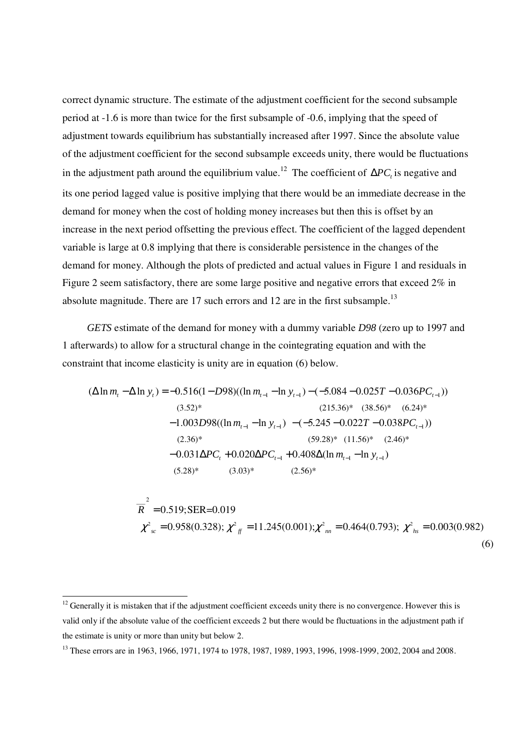correct dynamic structure. The estimate of the adjustment coefficient for the second subsample period at -1.6 is more than twice for the first subsample of -0.6, implying that the speed of adjustment towards equilibrium has substantially increased after 1997. Since the absolute value of the adjustment coefficient for the second subsample exceeds unity, there would be fluctuations in the adjustment path around the equilibrium value.<sup>12</sup> The coefficient of  $\Delta PC<sub>t</sub>$  is negative and its one period lagged value is positive implying that there would be an immediate decrease in the demand for money when the cost of holding money increases but then this is offset by an increase in the next period offsetting the previous effect. The coefficient of the lagged dependent variable is large at 0.8 implying that there is considerable persistence in the changes of the demand for money. Although the plots of predicted and actual values in Figure 1 and residuals in Figure 2 seem satisfactory, there are some large positive and negative errors that exceed 2% in absolute magnitude. There are  $17$  such errors and  $12$  are in the first subsample.<sup>13</sup>

 *GETS* estimate of the demand for money with a dummy variable *D98* (zero up to 1997 and 1 afterwards) to allow for a structural change in the cointegrating equation and with the constraint that income elasticity is unity are in equation (6) below.

$$
(\Delta \ln m_t - \Delta \ln y_t) = -0.516(1 - D98)((\ln m_{t-1} - \ln y_{t-1}) - (-5.084 - 0.025T - 0.036PC_{t-1}))
$$
  
\n(3.52)\* (215.36)\* (38.56)\* (6.24)\*  
\n-1.003D98((\ln m\_{t-1} - \ln y\_{t-1}) - (-5.245 - 0.022T - 0.038PC\_{t-1}))  
\n(2.36)\* (59.28)\* (11.56)\* (2.46)\*  
\n-0.031\Delta PC\_t + 0.020\Delta PC\_{t-1} + 0.408\Delta(\ln m\_{t-1} - \ln y\_{t-1})  
\n(5.28)\* (3.03)\* (2.56)\*

$$
\overline{R}^2 = 0.519; \text{SER}=0.019
$$
\n
$$
\chi^2_{sc} = 0.958(0.328); \chi^2_{ff} = 11.245(0.001); \chi^2_{nn} = 0.464(0.793); \chi^2_{hs} = 0.003(0.982)
$$
\n(6)

.<br>-

 $12$  Generally it is mistaken that if the adjustment coefficient exceeds unity there is no convergence. However this is valid only if the absolute value of the coefficient exceeds 2 but there would be fluctuations in the adjustment path if the estimate is unity or more than unity but below 2.

<sup>13</sup> These errors are in 1963, 1966, 1971, 1974 to 1978, 1987, 1989, 1993, 1996, 1998-1999, 2002, 2004 and 2008.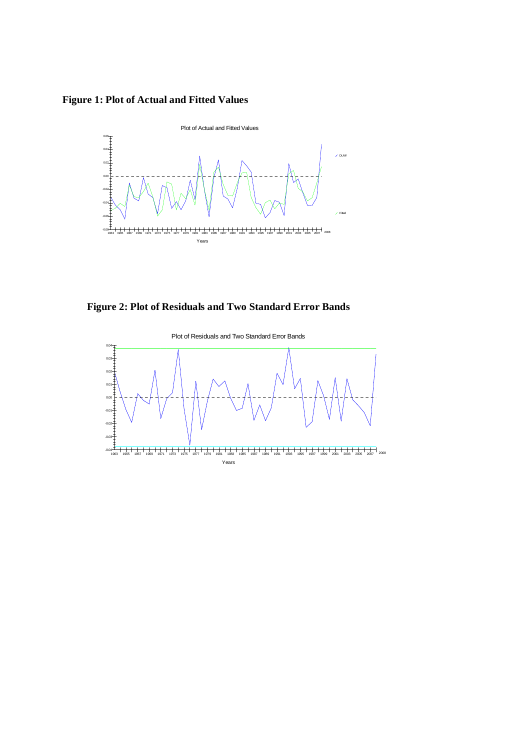**Figure 1: Plot of Actual and Fitted Values** 



**Figure 2: Plot of Residuals and Two Standard Error Bands**

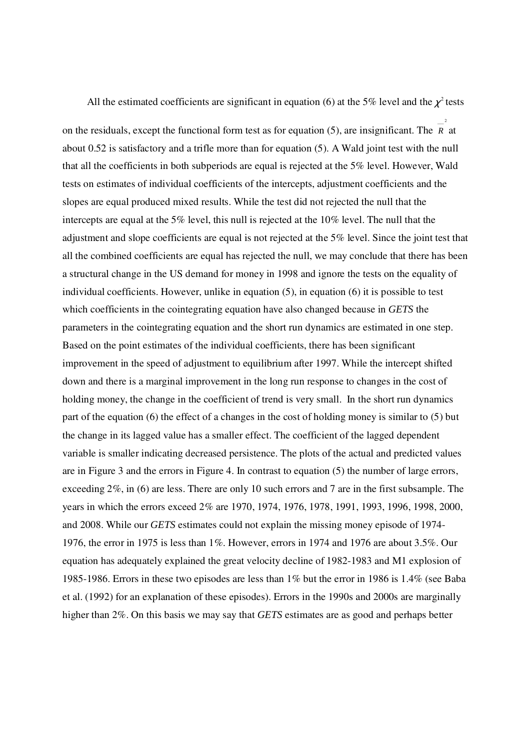All the estimated coefficients are significant in equation (6) at the 5% level and the  $\chi^2$  tests

2

on the residuals, except the functional form test as for equation (5), are insignificant. The  $\overline{R}^2$  at about 0.52 is satisfactory and a trifle more than for equation (5). A Wald joint test with the null that all the coefficients in both subperiods are equal is rejected at the 5% level. However, Wald tests on estimates of individual coefficients of the intercepts, adjustment coefficients and the slopes are equal produced mixed results. While the test did not rejected the null that the intercepts are equal at the 5% level, this null is rejected at the 10% level. The null that the adjustment and slope coefficients are equal is not rejected at the 5% level. Since the joint test that all the combined coefficients are equal has rejected the null, we may conclude that there has been a structural change in the US demand for money in 1998 and ignore the tests on the equality of individual coefficients. However, unlike in equation (5), in equation (6) it is possible to test which coefficients in the cointegrating equation have also changed because in *GETS* the parameters in the cointegrating equation and the short run dynamics are estimated in one step. Based on the point estimates of the individual coefficients, there has been significant improvement in the speed of adjustment to equilibrium after 1997. While the intercept shifted down and there is a marginal improvement in the long run response to changes in the cost of holding money, the change in the coefficient of trend is very small. In the short run dynamics part of the equation (6) the effect of a changes in the cost of holding money is similar to (5) but the change in its lagged value has a smaller effect. The coefficient of the lagged dependent variable is smaller indicating decreased persistence. The plots of the actual and predicted values are in Figure 3 and the errors in Figure 4. In contrast to equation (5) the number of large errors, exceeding 2%, in (6) are less. There are only 10 such errors and 7 are in the first subsample. The years in which the errors exceed 2% are 1970, 1974, 1976, 1978, 1991, 1993, 1996, 1998, 2000, and 2008. While our *GETS* estimates could not explain the missing money episode of 1974- 1976, the error in 1975 is less than 1%. However, errors in 1974 and 1976 are about 3.5%. Our equation has adequately explained the great velocity decline of 1982-1983 and M1 explosion of 1985-1986. Errors in these two episodes are less than 1% but the error in 1986 is 1.4% (see Baba et al. (1992) for an explanation of these episodes). Errors in the 1990s and 2000s are marginally higher than 2%. On this basis we may say that *GETS* estimates are as good and perhaps better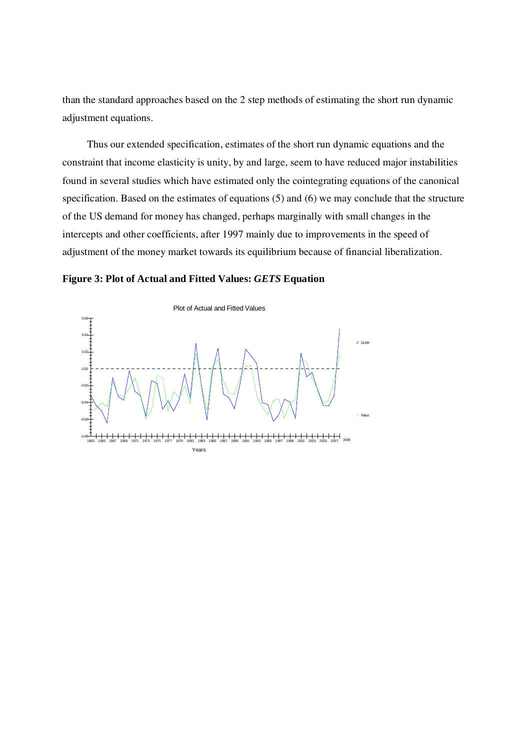than the standard approaches based on the 2 step methods of estimating the short run dynamic adjustment equations.

 Thus our extended specification, estimates of the short run dynamic equations and the constraint that income elasticity is unity, by and large, seem to have reduced major instabilities found in several studies which have estimated only the cointegrating equations of the canonical specification. Based on the estimates of equations (5) and (6) we may conclude that the structure of the US demand for money has changed, perhaps marginally with small changes in the intercepts and other coefficients, after 1997 mainly due to improvements in the speed of adjustment of the money market towards its equilibrium because of financial liberalization.

## **Figure 3: Plot of Actual and Fitted Values:** *GETS* **Equation**

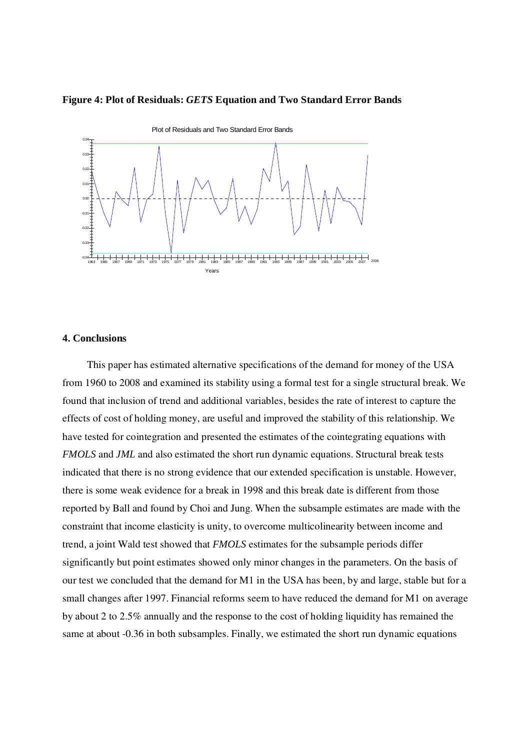#### **Figure 4: Plot of Residuals:** *GETS* **Equation and Two Standard Error Bands**



## **4. Conclusions**

This paper has estimated alternative specifications of the demand for money of the USA from 1960 to 2008 and examined its stability using a formal test for a single structural break. We found that inclusion of trend and additional variables, besides the rate of interest to capture the effects of cost of holding money, are useful and improved the stability of this relationship. We have tested for cointegration and presented the estimates of the cointegrating equations with *FMOLS* and *JML* and also estimated the short run dynamic equations. Structural break tests indicated that there is no strong evidence that our extended specification is unstable. However, there is some weak evidence for a break in 1998 and this break date is different from those reported by Ball and found by Choi and Jung. When the subsample estimates are made with the constraint that income elasticity is unity, to overcome multicolinearity between income and trend, a joint Wald test showed that *FMOLS* estimates for the subsample periods differ significantly but point estimates showed only minor changes in the parameters. On the basis of our test we concluded that the demand for M1 in the USA has been, by and large, stable but for a small changes after 1997. Financial reforms seem to have reduced the demand for M1 on average by about 2 to 2.5% annually and the response to the cost of holding liquidity has remained the same at about -0.36 in both subsamples. Finally, we estimated the short run dynamic equations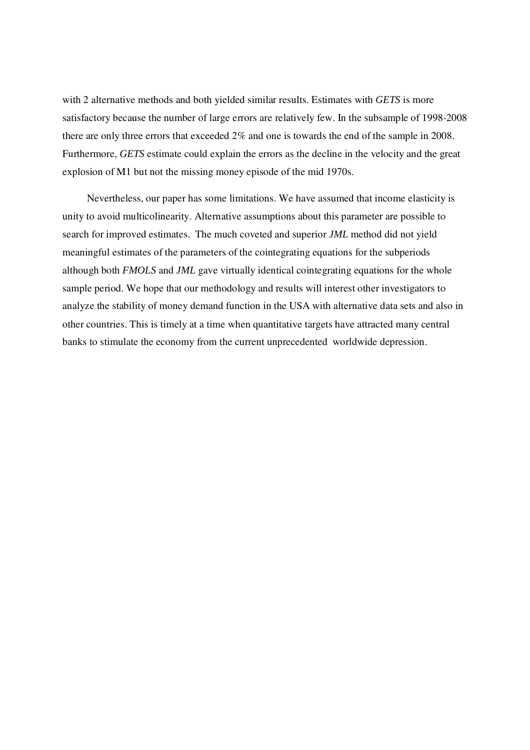with 2 alternative methods and both yielded similar results. Estimates with *GETS* is more satisfactory because the number of large errors are relatively few. In the subsample of 1998-2008 there are only three errors that exceeded 2% and one is towards the end of the sample in 2008. Furthermore, *GETS* estimate could explain the errors as the decline in the velocity and the great explosion of M1 but not the missing money episode of the mid 1970s.

Nevertheless, our paper has some limitations. We have assumed that income elasticity is unity to avoid multicolinearity. Alternative assumptions about this parameter are possible to search for improved estimates. The much coveted and superior *JML* method did not yield meaningful estimates of the parameters of the cointegrating equations for the subperiods although both *FMOLS* and *JML* gave virtually identical cointegrating equations for the whole sample period. We hope that our methodology and results will interest other investigators to analyze the stability of money demand function in the USA with alternative data sets and also in other countries. This is timely at a time when quantitative targets have attracted many central banks to stimulate the economy from the current unprecedented worldwide depression.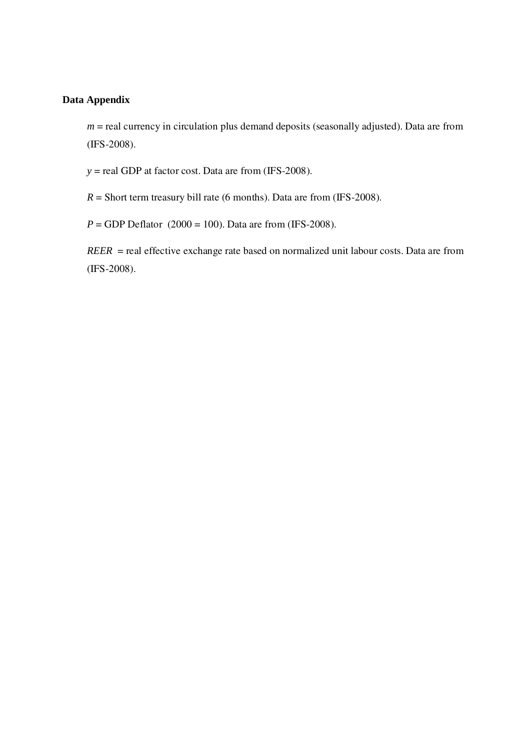## **Data Appendix**

 $m$  = real currency in circulation plus demand deposits (seasonally adjusted). Data are from (IFS-2008).

 $y =$  real GDP at factor cost. Data are from (IFS-2008).

 $R =$  Short term treasury bill rate (6 months). Data are from (IFS-2008).

 $P = GDP$  Deflator (2000 = 100). Data are from (IFS-2008).

*REER* = real effective exchange rate based on normalized unit labour costs. Data are from (IFS-2008).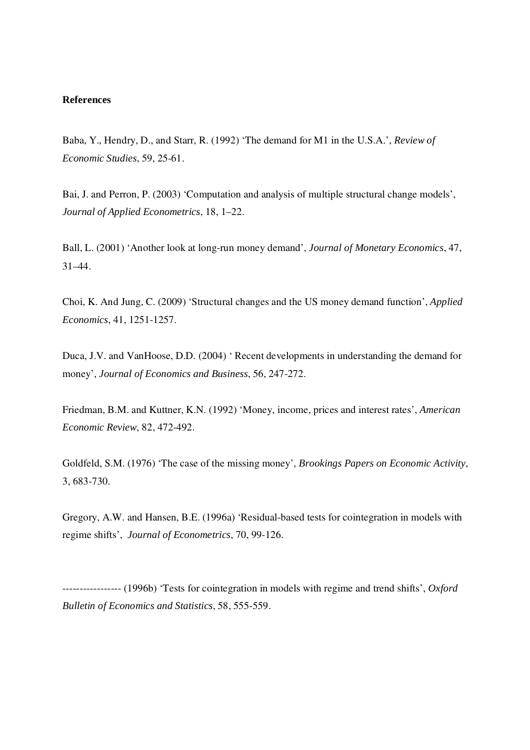#### **References**

Baba, Y., Hendry, D., and Starr, R. (1992) 'The demand for M1 in the U.S.A.', *Review of Economic Studies*, 59, 25-61.

Bai, J. and Perron, P. (2003) 'Computation and analysis of multiple structural change models', *Journal of Applied Econometrics*, 18, 1–22.

Ball, L. (2001) 'Another look at long-run money demand', *Journal of Monetary Economics*, 47, 31–44.

Choi, K. And Jung, C. (2009) 'Structural changes and the US money demand function', *Applied Economics*, 41, 1251-1257.

Duca, J.V. and VanHoose, D.D. (2004) ' Recent developments in understanding the demand for money', *Journal of Economics and Business*, 56, 247-272.

Friedman, B.M. and Kuttner, K.N. (1992) 'Money, income, prices and interest rates', *American Economic Review*, 82, 472-492.

Goldfeld, S.M. (1976) 'The case of the missing money', *Brookings Papers on Economic Activity*, 3, 683-730.

Gregory, A.W. and Hansen, B.E. (1996a) 'Residual-based tests for cointegration in models with regime shifts', *Journal of Econometrics*, 70, 99-126.

----------------- (1996b) 'Tests for cointegration in models with regime and trend shifts', *Oxford Bulletin of Economics and Statistics*, 58, 555-559.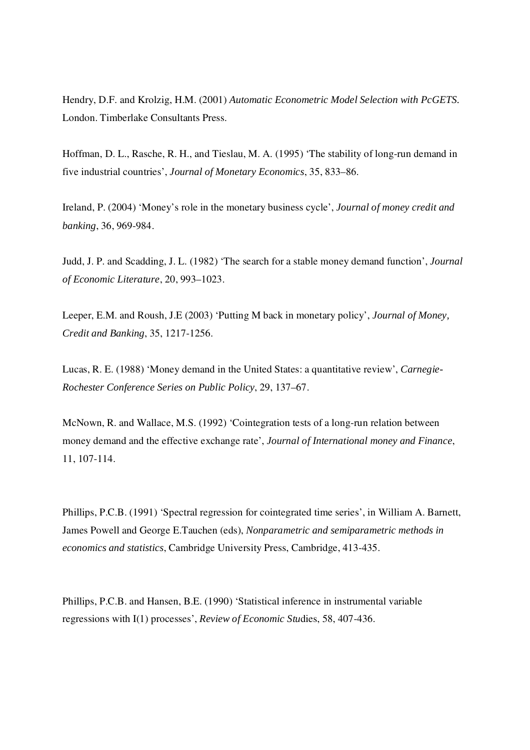Hendry, D.F. and Krolzig, H.M. (2001) *Automatic Econometric Model Selection with PcGETS.*  London. Timberlake Consultants Press.

Hoffman, D. L., Rasche, R. H., and Tieslau, M. A. (1995) 'The stability of long-run demand in five industrial countries', *Journal of Monetary Economics*, 35, 833–86.

Ireland, P. (2004) 'Money's role in the monetary business cycle', *Journal of money credit and banking*, 36, 969-984.

Judd, J. P. and Scadding, J. L. (1982) 'The search for a stable money demand function', *Journal of Economic Literature*, 20, 993–1023.

Leeper, E.M. and Roush, J.E (2003) 'Putting M back in monetary policy', *Journal of Money, Credit and Banking*, 35, 1217-1256.

Lucas, R. E. (1988) 'Money demand in the United States: a quantitative review', *Carnegie-Rochester Conference Series on Public Policy*, 29, 137–67.

McNown, R. and Wallace, M.S. (1992) 'Cointegration tests of a long-run relation between money demand and the effective exchange rate', *Journal of International money and Finance*, 11, 107-114.

Phillips, P.C.B. (1991) 'Spectral regression for cointegrated time series', in William A. Barnett, James Powell and George E.Tauchen (eds), *Nonparametric and semiparametric methods in economics and statistics*, Cambridge University Press, Cambridge, 413-435.

Phillips, P.C.B. and Hansen, B.E. (1990) 'Statistical inference in instrumental variable regressions with I(1) processes', *Review of Economic Stu*dies, 58, 407-436.